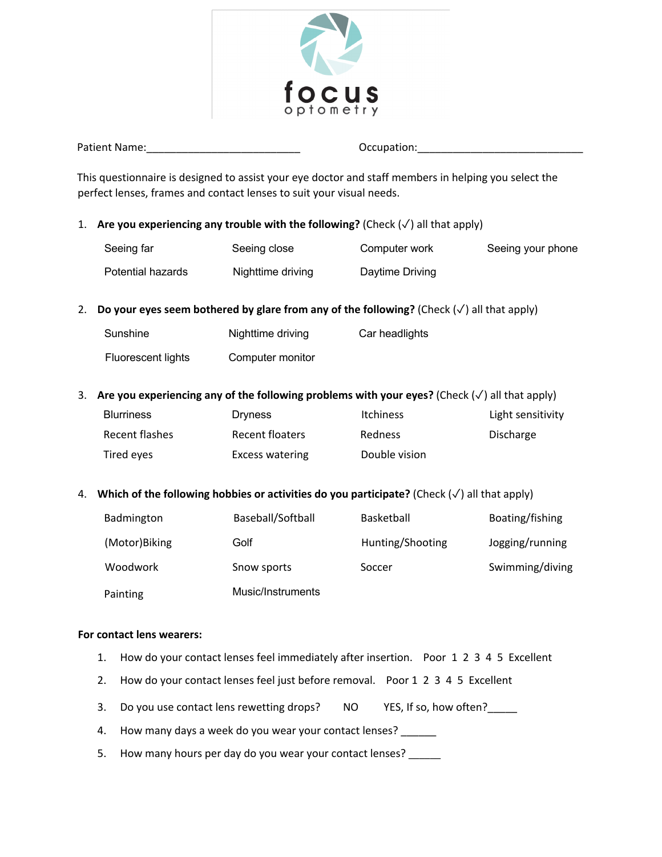

Patient Name:\_\_\_\_\_\_\_\_\_\_\_\_\_\_\_\_\_\_\_\_\_\_\_\_\_\_ Occupation:\_\_\_\_\_\_\_\_\_\_\_\_\_\_\_\_\_\_\_\_\_\_\_\_\_\_\_\_

This questionnaire is designed to assist your eye doctor and staff members in helping you select the perfect lenses, frames and contact lenses to suit your visual needs.

1. **Are you experiencing any trouble with the following?** (Check  $(\checkmark)$  all that apply)

| Seeing far        | Seeing close      | Computer work   | Seeing your phone |
|-------------------|-------------------|-----------------|-------------------|
| Potential hazards | Nighttime driving | Daytime Driving |                   |

2. **Do your eyes seem bothered by glare from any of the following?** (Check (✓) all that apply)

| Sunshine           | Nighttime driving | Car headlights |
|--------------------|-------------------|----------------|
| Fluorescent lights | Computer monitor  |                |

### 3. **Are you experiencing any of the following problems with your eyes?** (Check (✓) all that apply)

| <b>Blurriness</b> | <b>Dryness</b>  | <b>Itchiness</b> | Light sensitivity |
|-------------------|-----------------|------------------|-------------------|
| Recent flashes    | Recent floaters | <b>Redness</b>   | Discharge         |
| Tired eyes        | Excess watering | Double vision    |                   |

### 4. **Which of the following hobbies or activities do you participate?** (Check (✓) all that apply)

| Badmington    | Baseball/Softball | <b>Basketball</b> | Boating/fishing |
|---------------|-------------------|-------------------|-----------------|
| (Motor)Biking | Golf              | Hunting/Shooting  | Jogging/running |
| Woodwork      | Snow sports       | Soccer            | Swimming/diving |
| Painting      | Music/Instruments |                   |                 |

### **For contact lens wearers:**

- 1. How do your contact lenses feel immediately after insertion. Poor 1 2 3 4 5 Excellent
- 2. How do your contact lenses feel just before removal. Poor 1 2 3 4 5 Excellent
- 3. Do you use contact lens rewetting drops? NO YES, If so, how often?
- 4. How many days a week do you wear your contact lenses?
- 5. How many hours per day do you wear your contact lenses?